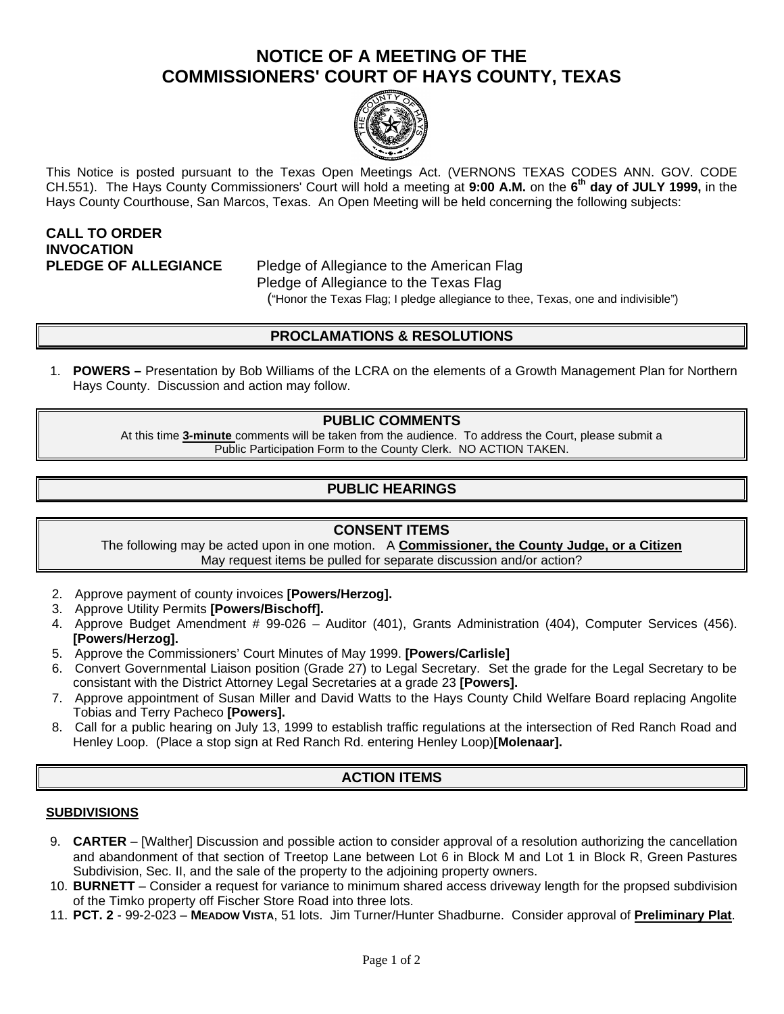# **NOTICE OF A MEETING OF THE COMMISSIONERS' COURT OF HAYS COUNTY, TEXAS**



This Notice is posted pursuant to the Texas Open Meetings Act. (VERNONS TEXAS CODES ANN. GOV. CODE CH.551). The Hays County Commissioners' Court will hold a meeting at **9:00 A.M.** on the **6 th day of JULY 1999,** in the Hays County Courthouse, San Marcos, Texas. An Open Meeting will be held concerning the following subjects:

# **CALL TO ORDER INVOCATION**

**PLEDGE OF ALLEGIANCE** Pledge of Allegiance to the American Flag Pledge of Allegiance to the Texas Flag ("Honor the Texas Flag; I pledge allegiance to thee, Texas, one and indivisible")

# **PROCLAMATIONS & RESOLUTIONS**

1. **POWERS –** Presentation by Bob Williams of the LCRA on the elements of a Growth Management Plan for Northern Hays County. Discussion and action may follow.

## **PUBLIC COMMENTS**

At this time **3-minute** comments will be taken from the audience. To address the Court, please submit a Public Participation Form to the County Clerk. NO ACTION TAKEN.

# **PUBLIC HEARINGS**

#### **CONSENT ITEMS**

The following may be acted upon in one motion. A **Commissioner, the County Judge, or a Citizen** May request items be pulled for separate discussion and/or action?

- 2. Approve payment of county invoices **[Powers/Herzog].**
- 3. Approve Utility Permits **[Powers/Bischoff].**
- 4. Approve Budget Amendment # 99-026 Auditor (401), Grants Administration (404), Computer Services (456). **[Powers/Herzog].**
- 5. Approve the Commissioners' Court Minutes of May 1999. **[Powers/Carlisle]**
- 6. Convert Governmental Liaison position (Grade 27) to Legal Secretary. Set the grade for the Legal Secretary to be consistant with the District Attorney Legal Secretaries at a grade 23 **[Powers].**
- 7. Approve appointment of Susan Miller and David Watts to the Hays County Child Welfare Board replacing Angolite Tobias and Terry Pacheco **[Powers].**
- 8. Call for a public hearing on July 13, 1999 to establish traffic regulations at the intersection of Red Ranch Road and Henley Loop. (Place a stop sign at Red Ranch Rd. entering Henley Loop)**[Molenaar].**

## **ACTION ITEMS**

#### **SUBDIVISIONS**

- 9. **CARTER** [Walther] Discussion and possible action to consider approval of a resolution authorizing the cancellation and abandonment of that section of Treetop Lane between Lot 6 in Block M and Lot 1 in Block R, Green Pastures Subdivision, Sec. II, and the sale of the property to the adjoining property owners.
- 10. **BURNETT**  Consider a request for variance to minimum shared access driveway length for the propsed subdivision of the Timko property off Fischer Store Road into three lots.
- 11. **PCT. 2** 99-2-023 **MEADOW VISTA**, 51 lots. Jim Turner/Hunter Shadburne. Consider approval of **Preliminary Plat**.